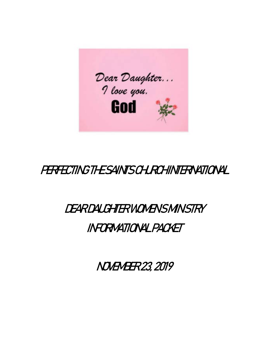

## PERFECTING THE SAINTS CHURCHINTERNATIONAL

# DEAR DAUGHTER WOMEN SMINISTRY

### INFORMATIONAL PACKET

NOVEMBER 23, 2019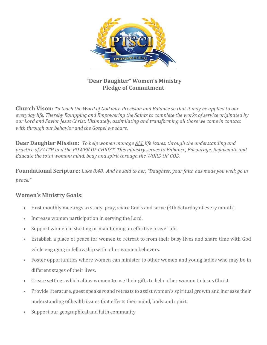

### **"Dear Daughter" Women's Ministry Pledge of Commitment**

**Church Vison:** *To teach the Word of God with Precision and Balance so that it may be applied to our everyday life. Thereby Equipping and Empowering the Saints to complete the works of service originated by our Lord and Savior Jesus Christ. Ultimately, assimilating and transforming all those we come in contact with through our behavior and the Gospel we share.*

**Dear Daughter Mission:** *To help women manage ALL life issues, through the understanding and practice of FAITH and the POWER OF CHRIST. This ministry serves to Enhance, Encourage, Rejuvenate and Educate the total woman; mind, body and spirit through the WORD OF GOD.* 

**Foundational Scripture:** *Luke 8:48. And he said to her, "Daughter, your faith has made you well; go in peace."* 

### **Women's Ministry Goals:**

- Host monthly meetings to study, pray, share God's and serve (4th Saturday of every month).
- Increase women participation in serving the Lord.
- Support women in starting or maintaining an effective prayer life.
- Establish a place of peace for women to retreat to from their busy lives and share time with God while engaging in fellowship with other women believers.
- Foster opportunities where women can minister to other women and young ladies who may be in different stages of their lives.
- Create settings which allow women to use their gifts to help other women to Jesus Christ.
- Provide literature, guest speakers and retreats to assist women's spiritual growth and increase their understanding of health issues that effects their mind, body and spirit.
- Support our geographical and faith community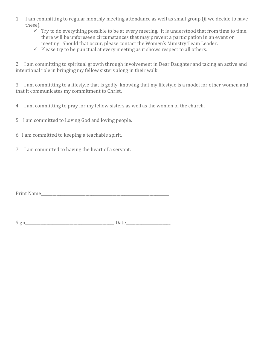- 1. I am committing to regular monthly meeting attendance as well as small group (if we decide to have these).
	- $\checkmark$  Try to do everything possible to be at every meeting. It is understood that from time to time, there will be unforeseen circumstances that may prevent a participation in an event or meeting. Should that occur, please contact the Women's Ministry Team Leader.
	- $\checkmark$  Please try to be punctual at every meeting as it shows respect to all others.

2. I am committing to spiritual growth through involvement in Dear Daughter and taking an active and intentional role in bringing my fellow sisters along in their walk.

3. I am committing to a lifestyle that is godly, knowing that my lifestyle is a model for other women and that it communicates my commitment to Christ.

- 4. I am committing to pray for my fellow sisters as well as the women of the church.
- 5. I am committed to Loving God and loving people.
- 6. I am committed to keeping a teachable spirit.
- 7. I am committed to having the heart of a servant.

Print Name

| $\sim$<br>∽ |  |
|-------------|--|
|-------------|--|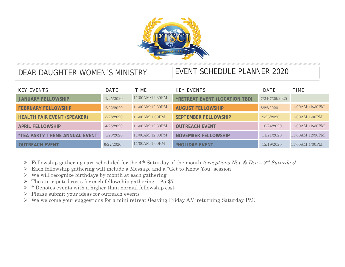

### DEAR DAUGHTER WOMEN'S MINISTRY EVENT SCHEDULE PLANNER 2020

| <b>KEY EVENTS</b>                           | DATE      | TIMF             | <b>KFY FVFNTS</b>             | DATE           | <b>TIME</b>         |
|---------------------------------------------|-----------|------------------|-------------------------------|----------------|---------------------|
| <b>JANUARY FELLOWSHIP</b>                   | 1/25/2020 | 11:00AM-12:30PM  | *RETREAT EVENT (LOCATION TBD) | 7/24-7/25/2020 |                     |
| <b>FEBRUARY FELLOWSHIP</b>                  | 2/22/2020 | 11:00AM-12:30PM  | <b>AUGUST FELLOWSHIP</b>      | 8/22/2020      | 11:00AM-12:30PM     |
| <b>HEALTH FAIR EVENT (SPEAKER)</b>          | 3/28/2020 | $11:00AM-1:00PM$ | <b>SEPTEMBER FELLOWSHIP</b>   | 9/26/2020      | $11:00AM-1:00PM$    |
| <b>APRIL FELLOWSHIP</b>                     | 4/25/2020 | 11:00AM-12:30PM  | <b>OUTREACH EVENT</b>         | 10/24/2020     | 11:00AM-12:30PM     |
| <i><b>*TEA PARTY THEME ANNUAL EVENT</b></i> | 5/23/2020 | 11:00AM-12:30PM  | <b>NOVEMBER FELLOWSHIP</b>    | 11/21/2020     | $11:00AM - 12:30PM$ |
| <b>OUTREACH EVENT</b>                       | 6/27/2020 | 11:00AM-1:00PM   | *HOLIDAY EVENT                | 12/19/2020     | $11:00AM-1:00PM$    |

- Fellowship gatherings are scheduled for the 4<sup>th</sup> Saturday of the month *(exceptions Nov & Dec = 3<sup>rd</sup> Saturday)*
- Each fellowship gathering will include a Message and a "Get to Know You" session
- $\triangleright$  We will recognize birthdays by month at each gathering
- $\triangleright$  The anticipated costs for each fellowship gathering = \$5.\$7
- $\triangleright$  \* Denotes events with a higher than normal fellowship cost
- $\triangleright$  Please submit your ideas for outreach events
- We welcome your suggestions for a mini retreat (leaving Friday AM-returning Saturday PM)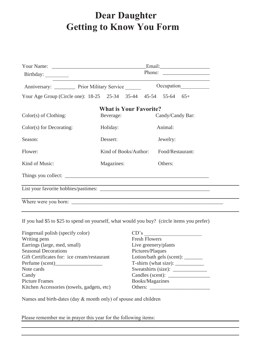### **Dear Daughter Getting to Know You Form**

|                                                                |                                        | Phone:           |  |  |  |
|----------------------------------------------------------------|----------------------------------------|------------------|--|--|--|
| Anniversary: __________ Prior Military Service ______          |                                        |                  |  |  |  |
| Your Age Group (Circle one): 18-25 25-34 35-44 45-54 55-64 65+ |                                        |                  |  |  |  |
| <b>What is Your Favorite?</b>                                  |                                        |                  |  |  |  |
| Color(s) of Clothing:                                          | Beverage:                              | Candy/Candy Bar: |  |  |  |
| $Color(s)$ for Decorating:                                     | Holiday:                               | Animal:          |  |  |  |
| Season:                                                        | Dessert:                               | Jewelry:         |  |  |  |
| Flower:                                                        | Kind of Books/Author: Food/Restaurant: |                  |  |  |  |
| Kind of Music:                                                 | Magazines:                             | Others:          |  |  |  |
|                                                                |                                        |                  |  |  |  |
|                                                                |                                        |                  |  |  |  |
|                                                                |                                        |                  |  |  |  |

If you had \$5 to \$25 to spend on yourself, what would you buy? (circle items you prefer)

| Fingernail polish (specify color)           | CD's                            |
|---------------------------------------------|---------------------------------|
| Writing pens                                | <b>Fresh Flowers</b>            |
| Earrings (large, med, small)                | Live greenery/plants            |
| <b>Seasonal Decorations</b>                 | Pictures/Plaques                |
| Gift Certificates for: ice cream/restaurant | Lotion/bath gels (scent): _____ |
| Perfume (scent)                             | T-shirts (what size):           |
| Note cards                                  |                                 |
| Candy                                       |                                 |
| <b>Picture Frames</b>                       | Books/Magazines                 |
| Kitchen Accessories (towels, gadgets, etc)  | Others:                         |

Names and birth-dates (day & month only) of spouse and children

Please remember me in prayer this year for the following items: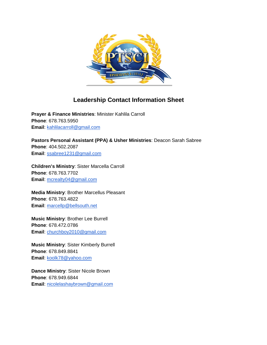

### **Leadership Contact Information Sheet**

**Prayer & Finance Ministries**: Minister Kahlila Carroll **Phone**: 678.763.5950 **Email**: [kahlilacarroll@gmail.com](mailto:kahlilacarroll@gmail.com)

**Pastors Personal Assistant (PPA) & Usher Ministries**: Deacon Sarah Sabree **Phone**: 404.502.2087 **Email**: [ssabree1231@gmail.com](mailto:ssabree1231@gmail.com)

**Children's Ministry**: Sister Marcella Carroll **Phone**: 678.763.7702 **Email**: [mcrealty04@gmail.com](mailto:mcrealty04@gmail.com)

**Media Ministry**: Brother Marcellus Pleasant **Phone**: 678.763.4822 **Email**: [marcellp@bellsouth.net](mailto:marcellp@bellsouth.net)

**Music Ministry**: Brother Lee Burrell **Phone**: 678.472.0786 **Email**: [churchboy2010@gmail.com](mailto:churchboy2010@gmail.com)

**Music Ministry**: Sister Kimberly Burrell **Phone**: 678.849.8841 **Email**: [koolk78@yahoo.com](mailto:koolk78@yahoo.com)

**Dance Ministry**: Sister Nicole Brown **Phone**: 678.949.6844 **Email**: [nicolelashaybrown@gmail.com](mailto:nicolelashaybrown@gmail.com)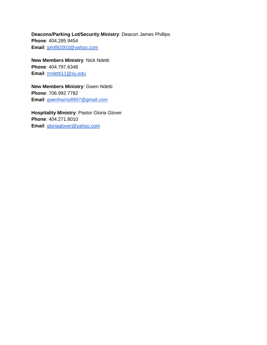**Deacons/Parking Lot/Security Ministry**: Deacon James Phillips **Phone**: 404.285.9454 **Email**: [jphill92003@yahoo.com](mailto:jphill92003@yahoo.com)

**New Members Ministry**: Nick Ndetti **Phone**: 404.797.6348 **Email**: [nndetti11@su.edu](mailto:nndetti11@su.edu)

**New Members Ministry**: Gwen Ndetti **Phone**: 706.992.7782 **Email**: [gwenharris8907@gmail.com](mailto:gwenharris8907@gmail.com)

**Hospitality Ministry**: Pastor Gloria Glover **Phone**: 404.271.8010 **Email**: [gloriaglover@yahoo.com](mailto:gloriaglover@yahoo.com)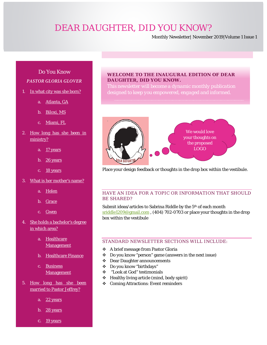### *DEAR DAUGHTER, DID YOU KNOW?*

Monthly Newsletter| November 2019|Volume 1 Issue 1

### Do You Know *PASTOR GLORIA GLOVER*

- 1. In what city was she born?
	- a. Atlanta, GA
	- b. Biloxi, MS
	- c. Miami, FL
- 2. How long has she been in ministry?
	- a.  $17$  years
	- b. 26 years
	- c. 18 years
- 3. What is her mother's name?
	- a. Helen
	- b. Grace
	- c. Gwen
- 4. She holds a bachelor's degree in which area?
	- a. Healthcare **Management**
	- b. Healthcare Finance
	- c. Business **Management**
- 5. How long has she been married to Pastor Jeffrey?
	- a. 22 years
	- b. 28 years
	- c. 19 years

#### **WELCOME TO THE INAUGURAL EDITION OF DEAR DAUGHTER, DID YOU KNOW.**

*This newsletter will become a dynamic monthly publication designed to keep you empowered, engaged and informed.* 



Place your design feedback or thoughts in the drop box within the vestibule.

#### HAVE AN IDEA FOR A TOPIC OR INFORMATION THAT SHOULD BE SHARED?

Submit ideas/articles to Sabrina Riddle by the 5<sup>th</sup> of each month [sriddle1209@gmail.com](mailto:sriddle1209@gmail.com), (404) 702-0703 or place your thoughts in the drop box within the vestibule

#### STANDARD NEWSLETTER SECTIONS WILL INCLUDE:

- A brief message from Pastor Gloria
- Do you know "person" game (answers in the next issue)
- Dear Daughter announcements
- Do you know "birthdays"
- "Look at God" testimonials
- Healthy living article (mind, body spirit)
- Coming Attractions: Event reminders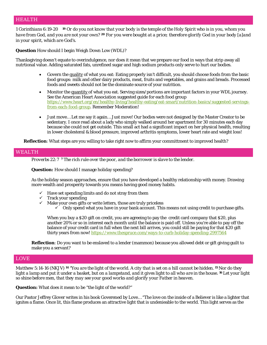### HEALTH

*1 Corinthians 6:19-20 <sup>19</sup> Or do you not know that your body is the temple of the Holy Spirit* who is *in you, whom you have from God, and you are not your own? <sup>20</sup> For you were bought at a price; therefore glorify God in your body [\[a\]](https://www.biblegateway.com/passage/?search=1+Corinthians+6%3A19-20&version=NKJV#fen-NKJV-28488a)and in your spirit, which are God's.*

**Question** How should I begin Weigh Down Low (WDL)?

Thanksgiving doesn't equate to overindulgence, nor does it mean that we prepare our food in ways that strip away all nutrtional value. Adding saturated fats, unrefined sugar and high sodium products only serve to hurt our bodies.

- Govern the quality of what you eat: Eating properly isn't difficult, you should choose foods from the basic food groups: milk and other dairy products, meat, fruits and vegetables, and grains and breads. Processed foods and sweets should not be the dominate source of your nutrition.
- Monitor the quantity of what you eat. Serving sizes/portions are important factors in your WDL journey. See the American Heart Association suggested guide for each food group [https://www.heart.org/en/healthy-living/healthy-eating/eat-smart/nutrition-basics/suggested-servings](https://www.heart.org/en/healthy-living/healthy-eating/eat-smart/nutrition-basics/suggested-servings-from-each-food-group)[from-each-food-group.](https://www.heart.org/en/healthy-living/healthy-eating/eat-smart/nutrition-basics/suggested-servings-from-each-food-group) Remember Moderation!
- Just move… Let me say it again… Just move! Our bodies were not designed by the Master Creator to be sedentary. I once read about a lady who simply walked around her apartment for 30 minutes each day because she could not get outside. This small act had a significant impact on her physical health, resulting in lower cholesteral & blood pressure, improved arthritis symptoms, lower heart rate and wieght loss!

**Reflection**: What steps are you willing to take right now to affirm your committment to improved health?

#### WEALTH

*[Proverbs 22:7](http://www.biblica.com/en-us/bible/online-bible/niv/proverbs/22/) <sup>7</sup> The rich rule over the poor, and the borrower is slave to the lender.*

**Question:** How should I manage holiday spending?

As the holiday season approaches, ensure that you have developed a healthy relationship with money. Drawing more wealth and prosperity towards you means having good money habits.

- $\checkmark$  Have set spending limits and do not stray from them
- $\checkmark$  Track your spending
- $\checkmark$  Make your own gifts or write letters, those are truly priceless
	- $\checkmark$  Only spend what you have in your bank account. This means not using credit to purchase gifts.

When you buy a \$20 gift on credit, you are agreeing to pay the credit card company that \$20, plus another 20% or so in interest each month until the balance is paid off. Unless you're able to pay off the balance of your credit card in full when the next bill arrives, you could still be paying for that \$20 gift thirty years from now! <https://www.thespruce.com/ways-to-curb-holiday-spending-2997564>

**Reflection**: Do you want to be enslaved to a lender (mammon) because you allowed debt or gift giving guilt to make you a servant?

### LOVE

M*atthew 5:14-16 (NKJV) <sup>14</sup> "You are the light of the world. A city that is set on a hill cannot be hidden. <sup>15</sup> Nor do they light a lamp and put it under a basket, but on a lampstand, and it gives light to all who are in the house. <sup>16</sup> Let your light so shine before men, that they may see your good works and glorify your Father in heaven.*

**Question:** What does it mean to be "the light of the world?"

Our Pastor Jeffrey Glover writes in his book Goverened by Love… "The love on the inside of a Believer is like a lighter that ignites a flame. Once lit, this flame produces an attractive light that is undenieable to the world. This light serves as the